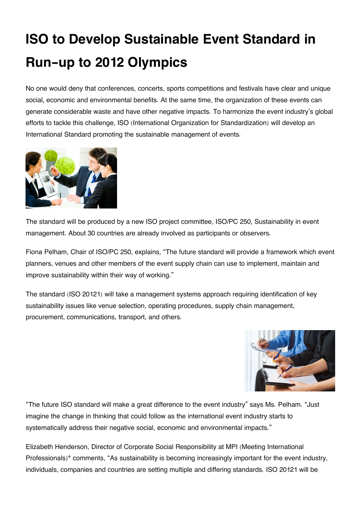## **ISO to Develop Sustainable Event Standard in Run-up to 2012 Olympics**

No one would deny that conferences, concerts, sports competitions and festivals have clear and unique social, economic and environmental benefits. At the same time, the organization of these events can generate considerable waste and have other negative impacts. To harmonize the event industry's global efforts to tackle this challenge, ISO (International Organization for Standardization) will develop an International Standard promoting the sustainable management of events.



The standard will be produced by a new ISO project committee, ISO/PC 250, Sustainability in event management. About 30 countries are already involved as participants or observers.

Fiona Pelham, Chair of ISO/PC 250, explains, "The future standard will provide a framework which event planners, venues and other members of the event supply chain can use to implement, maintain and improve sustainability within their way of working."

The standard (ISO 20121) will take a management systems approach requiring identification of key sustainability issues like venue selection, operating procedures, supply chain management, procurement, communications, transport, and others.



"The future ISO standard will make a great difference to the event industry" says Ms. Pelham. "Just imagine the change in thinking that could follow as the international event industry starts to systematically address their negative social, economic and environmental impacts."

Elizabeth Henderson, Director of Corporate Social Responsibility at MPI (Meeting International Professionals)\* comments, "As sustainability is becoming increasingly important for the event industry, individuals, companies and countries are setting multiple and differing standards. ISO 20121 will be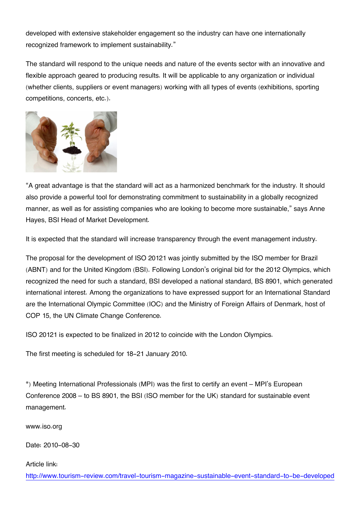developed with extensive stakeholder engagement so the industry can have one internationally recognized framework to implement sustainability."

The standard will respond to the unique needs and nature of the events sector with an innovative and flexible approach geared to producing results. It will be applicable to any organization or individual (whether clients, suppliers or event managers) working with all types of events (exhibitions, sporting competitions, concerts, etc.).



"A great advantage is that the standard will act as a harmonized benchmark for the industry. It should also provide a powerful tool for demonstrating commitment to sustainability in a globally recognized manner, as well as for assisting companies who are looking to become more sustainable," says Anne Hayes, BSI Head of Market Development.

It is expected that the standard will increase transparency through the event management industry.

The proposal for the development of ISO 20121 was jointly submitted by the ISO member for Brazil (ABNT) and for the United Kingdom (BSI). Following London's original bid for the 2012 Olympics, which recognized the need for such a standard, BSI developed a national standard, BS 8901, which generated international interest. Among the organizations to have expressed support for an International Standard are the International Olympic Committee (IOC) and the Ministry of Foreign Affairs of Denmark, host of COP 15, the UN Climate Change Conference.

ISO 20121 is expected to be finalized in 2012 to coincide with the London Olympics.

The first meeting is scheduled for 18-21 January 2010.

\*) Meeting International Professionals (MPI) was the first to certify an event – MPI's European Conference 2008 – to BS 8901, the BSI (ISO member for the UK) standard for sustainable event management.

www.iso.org

Date: 2010-08-30

Article link:

[http://www.tourism-review.com/travel-tourism-magazine-sustainable-event-standard-to-be-developed](http://www.tourism-review.com/travel-tourism-magazine-sustainable-event-standard-to-be-developed-by-2012-article1273)